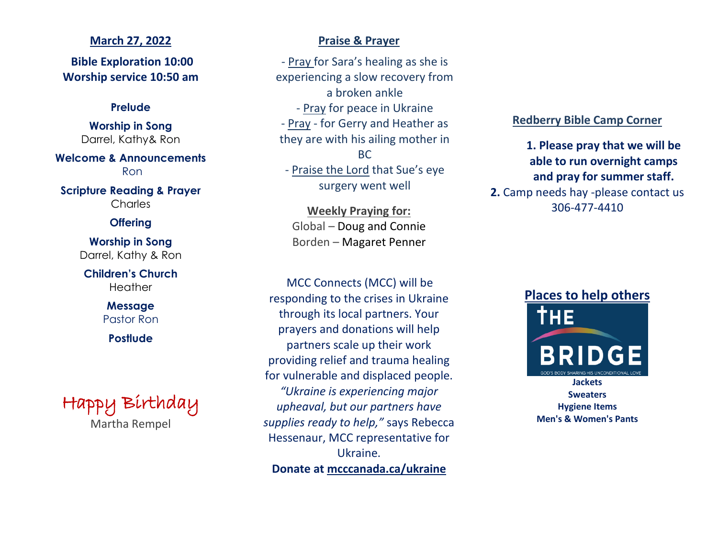## **March 27, 2022**

**Bible Exploration 10:00 Worship service 10:50 am**

## **Prelude**

**Worship in Song** Darrel, Kathy& Ron

**Welcome & Announcements** Ron

**Scripture Reading & Prayer Charles** 

## **Offering**

**Worship in Song** Darrel, Kathy & Ron

**Children's Church Heather** 

> **Message** Pastor Ron

**Postlude**



# **Praise & Prayer**

- Pray for Sara's healing as she is experiencing a slow recovery from a broken ankle - Pray for peace in Ukraine - Pray - for Gerry and Heather as they are with his ailing mother in BC - Praise the Lord that Sue's eye surgery went well

**Weekly Praying for:** Global – Doug and Connie Borden – Magaret Penner

MCC Connects (MCC) will be responding to the crises in Ukraine through its local partners. Your prayers and donations will help partners scale up their work providing relief and trauma healing for vulnerable and displaced people. *"Ukraine is experiencing major upheaval, but our partners have supplies ready to help,"* says Rebecca Hessenaur, MCC representative for Ukraine. **Donate at mcccanada.ca/ukraine**

## **Redberry Bible Camp Corner**

**1. Please pray that we will be able to run overnight camps and pray for summer staff. 2.** Camp needs hay -please contact us 306-477-4410